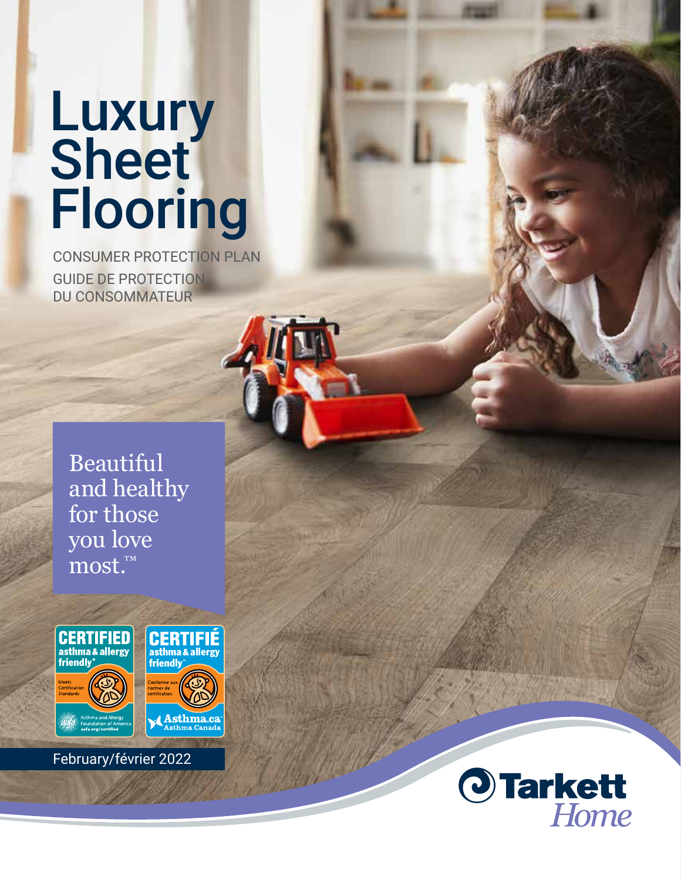# **Luxury Sheet** Flooring

CONSUMER PROTECTION PLAN GUIDE DE PROTECTION DU CONSOMMATEUR

Beautiful and healthy for those you love most.™



February/février 2022

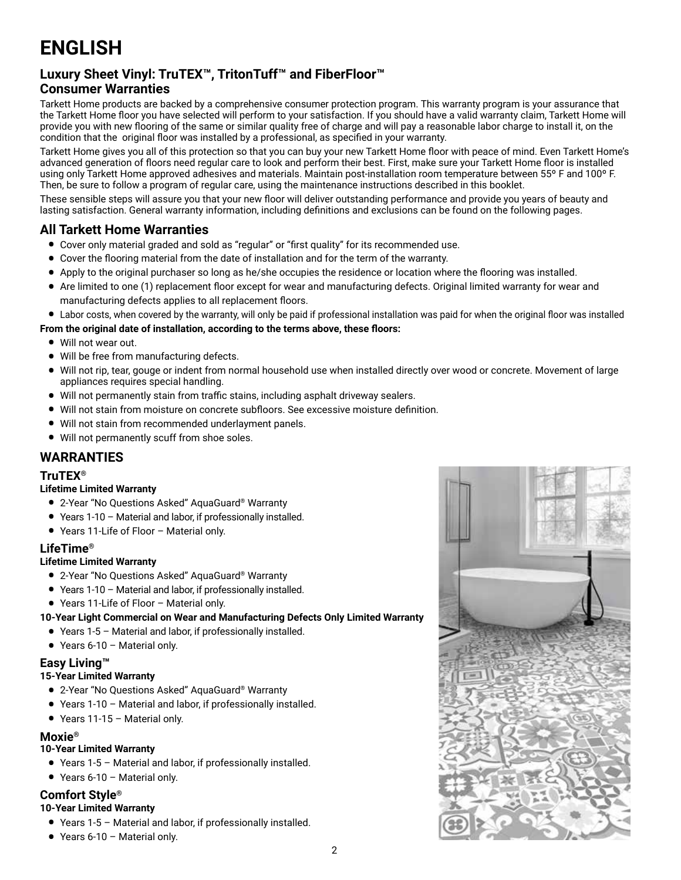# **ENGLISH**

# **Luxury Sheet Vinyl: TruTEX™, TritonTuff™ and FiberFloor™**

# **Consumer Warranties**

Tarkett Home products are backed by a comprehensive consumer protection program. This warranty program is your assurance that the Tarkett Home floor you have selected will perform to your satisfaction. If you should have a valid warranty claim, Tarkett Home will provide you with new flooring of the same or similar quality free of charge and will pay a reasonable labor charge to install it, on the condition that the original floor was installed by a professional, as specified in your warranty.

Tarkett Home gives you all of this protection so that you can buy your new Tarkett Home floor with peace of mind. Even Tarkett Home's advanced generation of floors need regular care to look and perform their best. First, make sure your Tarkett Home floor is installed using only Tarkett Home approved adhesives and materials. Maintain post-installation room temperature between 55° F and 100° F. Then, be sure to follow a program of regular care, using the maintenance instructions described in this booklet.

These sensible steps will assure you that your new floor will deliver outstanding performance and provide you years of beauty and lasting satisfaction. General warranty information, including definitions and exclusions can be found on the following pages.

# **All Tarkett Home Warranties**

- Cover only material graded and sold as "regular" or "first quality" for its recommended use.
- Cover the flooring material from the date of installation and for the term of the warranty.
- Apply to the original purchaser so long as he/she occupies the residence or location where the flooring was installed.
- Are limited to one (1) replacement floor except for wear and manufacturing defects. Original limited warranty for wear and manufacturing defects applies to all replacement floors.
- Labor costs, when covered by the warranty, will only be paid if professional installation was paid for when the original floor was installed
- **From the original date of installation, according to the terms above, these floors:**
	- Will not wear out.
	- Will be free from manufacturing defects.
	- Will not rip, tear, gouge or indent from normal household use when installed directly over wood or concrete. Movement of large appliances requires special handling.
	- Will not permanently stain from traffic stains, including asphalt driveway sealers.
	- Will not stain from moisture on concrete subfloors. See excessive moisture definition.
	- Will not stain from recommended underlayment panels.
	- Will not permanently scuff from shoe soles.

# **WARRANTIES**

# **TruTEX®**

#### **Lifetime Limited Warranty**

- 2-Year "No Questions Asked" AquaGuard® Warranty
- Years 1-10 Material and labor, if professionally installed.
- Years 11-Life of Floor Material only.

# **LifeTime®**

# **Lifetime Limited Warranty**

- 2-Year "No Questions Asked" AquaGuard® Warranty
- Years 1-10 Material and labor, if professionally installed.
- Years 11-Life of Floor Material only.
- **10-Year Light Commercial on Wear and Manufacturing Defects Only Limited Warranty**
	- Years 1-5 Material and labor, if professionally installed.
	- Years 6-10 Material only.

# **Easy Living™**

#### **15-Year Limited Warranty**

- 2-Year "No Questions Asked" AquaGuard® Warranty
- Years 1-10 Material and labor, if professionally installed.
- Years 11-15 Material only.

# **Moxie®**

# **10-Year Limited Warranty**

- Years 1-5 Material and labor, if professionally installed.
- Years 6-10 Material only.

# **Comfort Style®**

#### **10-Year Limited Warranty**

- Years 1-5 Material and labor, if professionally installed.
- Years 6-10 Material only.

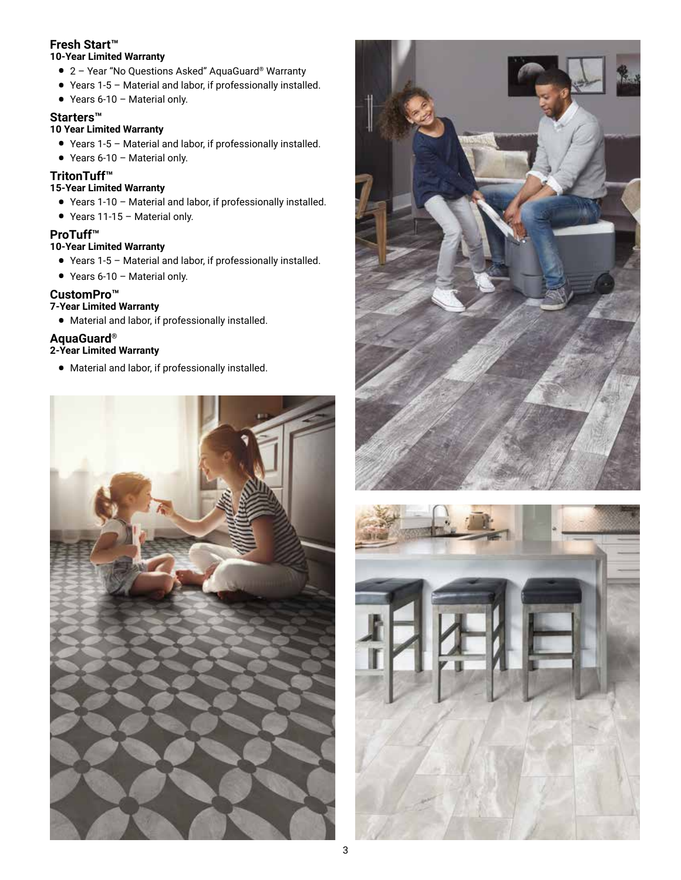#### **Fresh Start™ 10-Year Limited Warranty**

- 2 Year "No Questions Asked" AquaGuard® Warranty
- Years 1-5 Material and labor, if professionally installed.
- Years 6-10 Material only.

# **Starters™**

# **10 Year Limited Warranty**

- Years 1-5 Material and labor, if professionally installed.
- Years 6-10 Material only.

# **TritonTuff™**

# **15-Year Limited Warranty**

- Years 1-10 Material and labor, if professionally installed.
- Years 11-15 Material only.

# **ProTuff™**

# **10-Year Limited Warranty**

- Years 1-5 Material and labor, if professionally installed.
- Years 6-10 Material only.

# **CustomPro™**

# **7-Year Limited Warranty**

• Material and labor, if professionally installed.

# **AquaGuard®**

- **2-Year Limited Warranty**
	- Material and labor, if professionally installed.





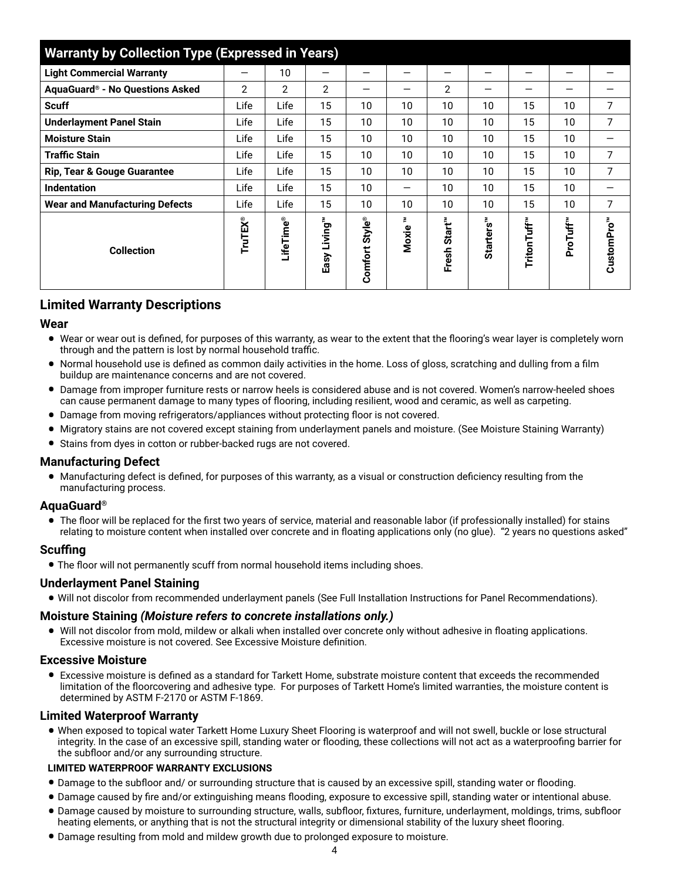| <b>Warranty by Collection Type (Expressed in Years)</b> |                |                |                 |                          |            |                             |                       |             |          |                        |  |
|---------------------------------------------------------|----------------|----------------|-----------------|--------------------------|------------|-----------------------------|-----------------------|-------------|----------|------------------------|--|
| <b>Light Commercial Warranty</b>                        | –              | 10             | –               | —                        | -          | —                           | -                     |             |          |                        |  |
| AquaGuard® - No Questions Asked                         | $\overline{2}$ | $\overline{2}$ | $\overline{2}$  | —                        | –          | $\overline{2}$              |                       |             |          |                        |  |
| <b>Scuff</b>                                            | Life           | Life           | 15              | 10                       | 10         | 10                          | 10                    | 15          | 10       | 7                      |  |
| <b>Underlayment Panel Stain</b>                         | Life           | Life           | 15              | 10                       | 10         | 10                          | 10                    | 15          | 10       | 7                      |  |
| <b>Moisture Stain</b>                                   | Life           | Life           | 15              | 10                       | 10         | 10                          | 10                    | 15          | 10       |                        |  |
| <b>Traffic Stain</b>                                    | Life           | Life           | 15              | 10                       | 10         | 10                          | 10                    | 15          | 10       | $\overline{7}$         |  |
| <b>Rip, Tear &amp; Gouge Guarantee</b>                  | Life           | Life           | 15              | 10                       | 10         | 10                          | 10                    | 15          | 10       | 7                      |  |
| <b>Indentation</b>                                      | Life           | Life           | 15              | 10                       | —          | 10                          | 10                    | 15          | 10       |                        |  |
| <b>Wear and Manufacturing Defects</b>                   | Life           | Life           | 15              | 10                       | 10         | 10                          | 10                    | 15          | 10       | 7                      |  |
| <b>Collection</b>                                       | <b>TruTEX®</b> | ⊔ifeTime®      | Living™<br>Easy | <b>Style®</b><br>Comfort | E<br>Moxie | Start <sup>m</sup><br>Fresh | Starters <sup>™</sup> | TritonTuff™ | ProTuff™ | CustomPro <sup>™</sup> |  |

# **Limited Warranty Descriptions**

# **Wear**

- Wear or wear out is defined, for purposes of this warranty, as wear to the extent that the flooring's wear layer is completely worn through and the pattern is lost by normal household traffic.
- Normal household use is defined as common daily activities in the home. Loss of gloss, scratching and dulling from a film buildup are maintenance concerns and are not covered.
- Damage from improper furniture rests or narrow heels is considered abuse and is not covered. Women's narrow-heeled shoes can cause permanent damage to many types of flooring, including resilient, wood and ceramic, as well as carpeting.
- Damage from moving refrigerators/appliances without protecting floor is not covered.
- Migratory stains are not covered except staining from underlayment panels and moisture. (See Moisture Staining Warranty)
- Stains from dyes in cotton or rubber-backed rugs are not covered.

#### **Manufacturing Defect**

• Manufacturing defect is defined, for purposes of this warranty, as a visual or construction deficiency resulting from the manufacturing process.

#### **AquaGuard®**

• The floor will be replaced for the first two years of service, material and reasonable labor (if professionally installed) for stains relating to moisture content when installed over concrete and in floating applications only (no glue). "2 years no questions asked"

#### **Scuffing**

• The floor will not permanently scuff from normal household items including shoes.

#### **Underlayment Panel Staining**

• Will not discolor from recommended underlayment panels (See Full Installation Instructions for Panel Recommendations).

#### **Moisture Staining** *(Moisture refers to concrete installations only.)*

• Will not discolor from mold, mildew or alkali when installed over concrete only without adhesive in floating applications. Excessive moisture is not covered. See Excessive Moisture definition.

#### **Excessive Moisture**

• Excessive moisture is defined as a standard for Tarkett Home, substrate moisture content that exceeds the recommended limitation of the floorcovering and adhesive type. For purposes of Tarkett Home's limited warranties, the moisture content is determined by ASTM F-2170 or ASTM F-1869.

# **Limited Waterproof Warranty**

• When exposed to topical water Tarkett Home Luxury Sheet Flooring is waterproof and will not swell, buckle or lose structural integrity. In the case of an excessive spill, standing water or flooding, these collections will not act as a waterproofing barrier for the subfloor and/or any surrounding structure.

#### **LIMITED WATERPROOF WARRANTY EXCLUSIONS**

- Damage to the subfloor and/ or surrounding structure that is caused by an excessive spill, standing water or flooding.
- Damage caused by fire and/or extinguishing means flooding, exposure to excessive spill, standing water or intentional abuse.
- Damage caused by moisture to surrounding structure, walls, subfloor, fixtures, furniture, underlayment, moldings, trims, subfloor heating elements, or anything that is not the structural integrity or dimensional stability of the luxury sheet flooring.
- Damage resulting from mold and mildew growth due to prolonged exposure to moisture.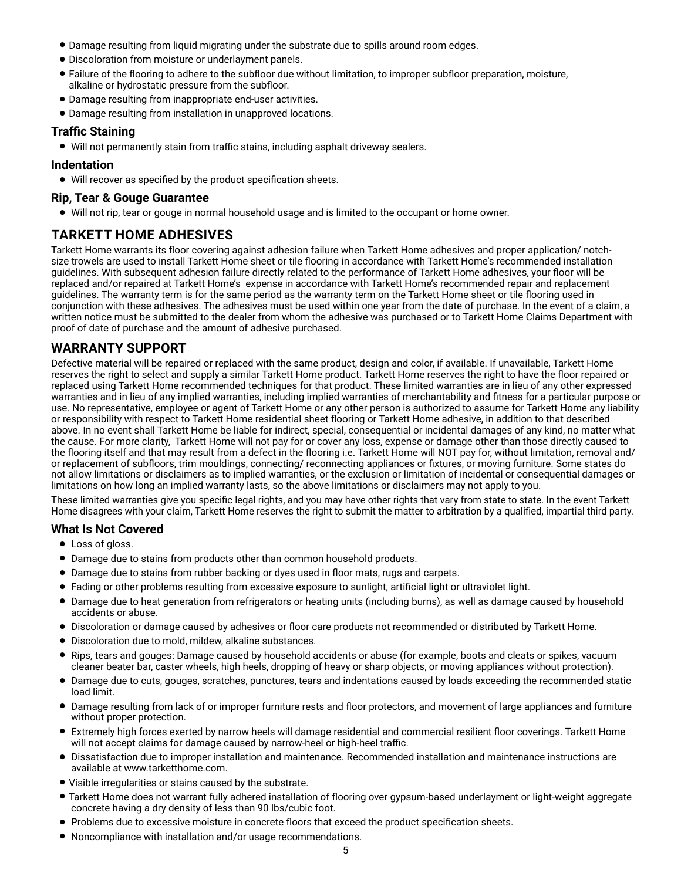- Damage resulting from liquid migrating under the substrate due to spills around room edges.
- Discoloration from moisture or underlayment panels.
- Failure of the flooring to adhere to the subfloor due without limitation, to improper subfloor preparation, moisture, alkaline or hydrostatic pressure from the subfloor.
- Damage resulting from inappropriate end-user activities.
- Damage resulting from installation in unapproved locations.

# **Traffic Staining**

• Will not permanently stain from traffic stains, including asphalt driveway sealers.

#### **Indentation**

• Will recover as specified by the product specification sheets.

#### **Rip, Tear & Gouge Guarantee**

• Will not rip, tear or gouge in normal household usage and is limited to the occupant or home owner.

# **TARKETT HOME ADHESIVES**

Tarkett Home warrants its floor covering against adhesion failure when Tarkett Home adhesives and proper application/ notchsize trowels are used to install Tarkett Home sheet or tile flooring in accordance with Tarkett Home's recommended installation guidelines. With subsequent adhesion failure directly related to the performance of Tarkett Home adhesives, your floor will be replaced and/or repaired at Tarkett Home's expense in accordance with Tarkett Home's recommended repair and replacement guidelines. The warranty term is for the same period as the warranty term on the Tarkett Home sheet or tile flooring used in conjunction with these adhesives. The adhesives must be used within one year from the date of purchase. In the event of a claim, a written notice must be submitted to the dealer from whom the adhesive was purchased or to Tarkett Home Claims Department with proof of date of purchase and the amount of adhesive purchased.

# **WARRANTY SUPPORT**

Defective material will be repaired or replaced with the same product, design and color, if available. If unavailable, Tarkett Home reserves the right to select and supply a similar Tarkett Home product. Tarkett Home reserves the right to have the floor repaired or replaced using Tarkett Home recommended techniques for that product. These limited warranties are in lieu of any other expressed warranties and in lieu of any implied warranties, including implied warranties of merchantability and fitness for a particular purpose or use. No representative, employee or agent of Tarkett Home or any other person is authorized to assume for Tarkett Home any liability or responsibility with respect to Tarkett Home residential sheet flooring or Tarkett Home adhesive, in addition to that described above. In no event shall Tarkett Home be liable for indirect, special, consequential or incidental damages of any kind, no matter what the cause. For more clarity, Tarkett Home will not pay for or cover any loss, expense or damage other than those directly caused to the flooring itself and that may result from a defect in the flooring i.e. Tarkett Home will NOT pay for, without limitation, removal and/ or replacement of subfloors, trim mouldings, connecting/ reconnecting appliances or fixtures, or moving furniture. Some states do not allow limitations or disclaimers as to implied warranties, or the exclusion or limitation of incidental or consequential damages or limitations on how long an implied warranty lasts, so the above limitations or disclaimers may not apply to you.

These limited warranties give you specific legal rights, and you may have other rights that vary from state to state. In the event Tarkett Home disagrees with your claim, Tarkett Home reserves the right to submit the matter to arbitration by a qualified, impartial third party.

#### **What Is Not Covered**

- Loss of gloss.
- Damage due to stains from products other than common household products.
- Damage due to stains from rubber backing or dyes used in floor mats, rugs and carpets.
- Fading or other problems resulting from excessive exposure to sunlight, artificial light or ultraviolet light.
- Damage due to heat generation from refrigerators or heating units (including burns), as well as damage caused by household accidents or abuse.
- Discoloration or damage caused by adhesives or floor care products not recommended or distributed by Tarkett Home.
- Discoloration due to mold, mildew, alkaline substances.<br>• Rins tears and gouges: Damage caused by bousebold a
- Rips, tears and gouges: Damage caused by household accidents or abuse (for example, boots and cleats or spikes, vacuum cleaner beater bar, caster wheels, high heels, dropping of heavy or sharp objects, or moving appliances without protection).
- Damage due to cuts, gouges, scratches, punctures, tears and indentations caused by loads exceeding the recommended static load limit.
- Damage resulting from lack of or improper furniture rests and floor protectors, and movement of large appliances and furniture without proper protection.
- Extremely high forces exerted by narrow heels will damage residential and commercial resilient floor coverings. Tarkett Home will not accept claims for damage caused by narrow-heel or high-heel traffic.
- Dissatisfaction due to improper installation and maintenance. Recommended installation and maintenance instructions are available at www.tarketthome.com.
- Visible irregularities or stains caused by the substrate.
- Tarkett Home does not warrant fully adhered installation of flooring over gypsum-based underlayment or light-weight aggregate concrete having a dry density of less than 90 lbs/cubic foot.
- Problems due to excessive moisture in concrete floors that exceed the product specification sheets.
- Noncompliance with installation and/or usage recommendations.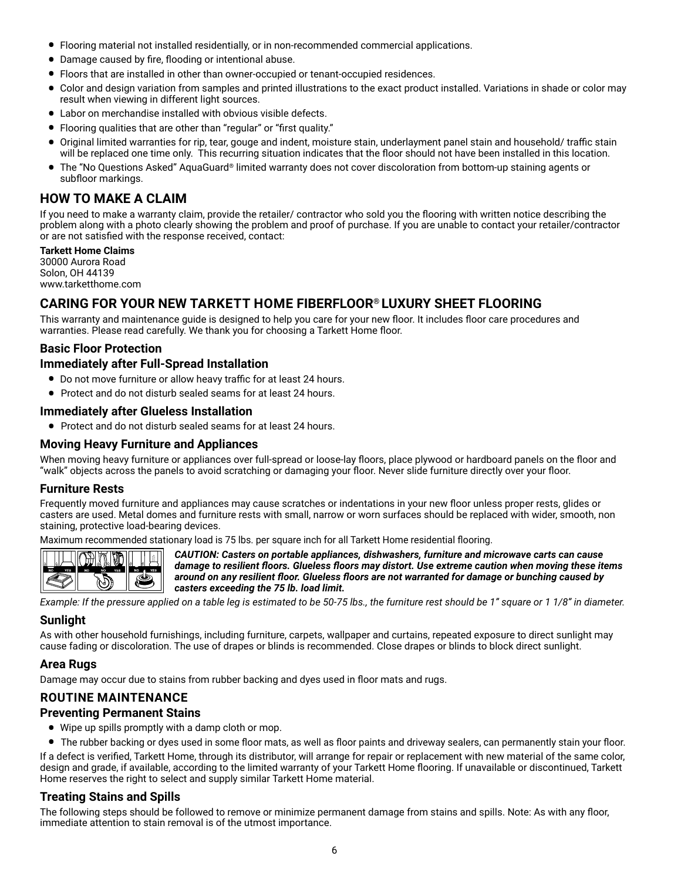- Flooring material not installed residentially, or in non-recommended commercial applications.
- Damage caused by fire, flooding or intentional abuse.
- Floors that are installed in other than owner-occupied or tenant-occupied residences.
- Color and design variation from samples and printed illustrations to the exact product installed. Variations in shade or color may result when viewing in different light sources.
- Labor on merchandise installed with obvious visible defects.
- Flooring qualities that are other than "regular" or "first quality."
- Original limited warranties for rip, tear, gouge and indent, moisture stain, underlayment panel stain and household/ traffic stain will be replaced one time only. This recurring situation indicates that the floor should not have been installed in this location.
- The "No Questions Asked" AquaGuard® limited warranty does not cover discoloration from bottom-up staining agents or subfloor markings.

# **HOW TO MAKE A CLAIM**

If you need to make a warranty claim, provide the retailer/ contractor who sold you the flooring with written notice describing the problem along with a photo clearly showing the problem and proof of purchase. If you are unable to contact your retailer/contractor or are not satisfied with the response received, contact:

#### **Tarkett Home Claims**

30000 Aurora Road Solon, OH 44139 www.tarketthome.com

# **CARING FOR YOUR NEW TARKETT HOME FIBERFLOOR® LUXURY SHEET FLOORING**

This warranty and maintenance guide is designed to help you care for your new floor. It includes floor care procedures and warranties. Please read carefully. We thank you for choosing a Tarkett Home floor.

# **Basic Floor Protection**

# **Immediately after Full-Spread Installation**

- Do not move furniture or allow heavy traffic for at least 24 hours.
- Protect and do not disturb sealed seams for at least 24 hours.

# **Immediately after Glueless Installation**

• Protect and do not disturb sealed seams for at least 24 hours.

# **Moving Heavy Furniture and Appliances**

When moving heavy furniture or appliances over full-spread or loose-lay floors, place plywood or hardboard panels on the floor and "walk" objects across the panels to avoid scratching or damaging your floor. Never slide furniture directly over your floor.

# **Furniture Rests**

Frequently moved furniture and appliances may cause scratches or indentations in your new floor unless proper rests, glides or casters are used. Metal domes and furniture rests with small, narrow or worn surfaces should be replaced with wider, smooth, non staining, protective load-bearing devices.

Maximum recommended stationary load is 75 lbs. per square inch for all Tarkett Home residential flooring.



*CAUTION: Casters on portable appliances, dishwashers, furniture and microwave carts can cause damage to resilient floors. Glueless floors may distort. Use extreme caution when moving these items around on any resilient floor. Glueless floors are not warranted for damage or bunching caused by casters exceeding the 75 lb. load limit.*

*Example: If the pressure applied on a table leg is estimated to be 50-75 lbs., the furniture rest should be 1" square or 1 1/8" in diameter.*

#### **Sunlight**

As with other household furnishings, including furniture, carpets, wallpaper and curtains, repeated exposure to direct sunlight may cause fading or discoloration. The use of drapes or blinds is recommended. Close drapes or blinds to block direct sunlight.

# **Area Rugs**

Damage may occur due to stains from rubber backing and dyes used in floor mats and rugs.

# **ROUTINE MAINTENANCE**

#### **Preventing Permanent Stains**

- Wipe up spills promptly with a damp cloth or mop.
- The rubber backing or dyes used in some floor mats, as well as floor paints and driveway sealers, can permanently stain your floor.

If a defect is verified, Tarkett Home, through its distributor, will arrange for repair or replacement with new material of the same color, design and grade, if available, according to the limited warranty of your Tarkett Home flooring. If unavailable or discontinued, Tarkett Home reserves the right to select and supply similar Tarkett Home material.

# **Treating Stains and Spills**

The following steps should be followed to remove or minimize permanent damage from stains and spills. Note: As with any floor, immediate attention to stain removal is of the utmost importance.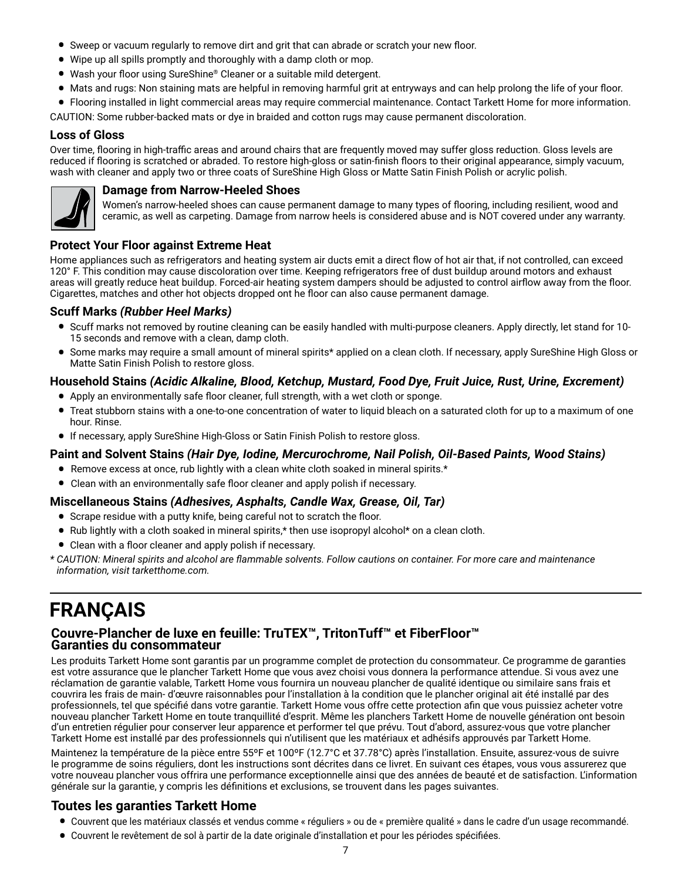- Sweep or vacuum regularly to remove dirt and grit that can abrade or scratch your new floor.
- Wipe up all spills promptly and thoroughly with a damp cloth or mop.
- Wash your floor using SureShine® Cleaner or a suitable mild detergent.
- Mats and rugs: Non staining mats are helpful in removing harmful grit at entryways and can help prolong the life of your floor.
- Flooring installed in light commercial areas may require commercial maintenance. Contact Tarkett Home for more information.

CAUTION: Some rubber-backed mats or dye in braided and cotton rugs may cause permanent discoloration.

# **Loss of Gloss**

Over time, flooring in high-traffic areas and around chairs that are frequently moved may suffer gloss reduction. Gloss levels are reduced if flooring is scratched or abraded. To restore high-gloss or satin-finish floors to their original appearance, simply vacuum, wash with cleaner and apply two or three coats of SureShine High Gloss or Matte Satin Finish Polish or acrylic polish.



# **Damage from Narrow-Heeled Shoes**

Women's narrow-heeled shoes can cause permanent damage to many types of flooring, including resilient, wood and ceramic, as well as carpeting. Damage from narrow heels is considered abuse and is NOT covered under any warranty.

# **Protect Your Floor against Extreme Heat**

Home appliances such as refrigerators and heating system air ducts emit a direct flow of hot air that, if not controlled, can exceed 120° F. This condition may cause discoloration over time. Keeping refrigerators free of dust buildup around motors and exhaust areas will greatly reduce heat buildup. Forced-air heating system dampers should be adjusted to control airflow away from the floor. Cigarettes, matches and other hot objects dropped ont he floor can also cause permanent damage.

# **Scuff Marks** *(Rubber Heel Marks)*

- Scuff marks not removed by routine cleaning can be easily handled with multi-purpose cleaners. Apply directly, let stand for 10- 15 seconds and remove with a clean, damp cloth.
- Some marks may require a small amount of mineral spirits\* applied on a clean cloth. If necessary, apply SureShine High Gloss or Matte Satin Finish Polish to restore gloss.

# **Household Stains** *(Acidic Alkaline, Blood, Ketchup, Mustard, Food Dye, Fruit Juice, Rust, Urine, Excrement)*

- Apply an environmentally safe floor cleaner, full strength, with a wet cloth or sponge.
- Treat stubborn stains with a one-to-one concentration of water to liquid bleach on a saturated cloth for up to a maximum of one hour. Rinse.
- If necessary, apply SureShine High-Gloss or Satin Finish Polish to restore gloss.

# **Paint and Solvent Stains** *(Hair Dye, Iodine, Mercurochrome, Nail Polish, Oil-Based Paints, Wood Stains)*

- Remove excess at once, rub lightly with a clean white cloth soaked in mineral spirits.\*
- Clean with an environmentally safe floor cleaner and apply polish if necessary.

# **Miscellaneous Stains** *(Adhesives, Asphalts, Candle Wax, Grease, Oil, Tar)*

- Scrape residue with a putty knife, being careful not to scratch the floor.
- Rub lightly with a cloth soaked in mineral spirits,\* then use isopropyl alcohol\* on a clean cloth.
- Clean with a floor cleaner and apply polish if necessary.
- *\* CAUTION: Mineral spirits and alcohol are flammable solvents. Follow cautions on container. For more care and maintenance information, visit tarketthome.com.*

# **FRANÇAIS**

# **Couvre-Plancher de luxe en feuille: TruTEX™, TritonTuff™ et FiberFloor™ Garanties du consommateur**

Les produits Tarkett Home sont garantis par un programme complet de protection du consommateur. Ce programme de garanties est votre assurance que le plancher Tarkett Home que vous avez choisi vous donnera la performance attendue. Si vous avez une réclamation de garantie valable, Tarkett Home vous fournira un nouveau plancher de qualité identique ou similaire sans frais et couvrira les frais de main- d'œuvre raisonnables pour l'installation à la condition que le plancher original ait été installé par des professionnels, tel que spécifié dans votre garantie. Tarkett Home vous offre cette protection afin que vous puissiez acheter votre nouveau plancher Tarkett Home en toute tranquillité d'esprit. Même les planchers Tarkett Home de nouvelle génération ont besoin d'un entretien régulier pour conserver leur apparence et performer tel que prévu. Tout d'abord, assurez-vous que votre plancher Tarkett Home est installé par des professionnels qui n'utilisent que les matériaux et adhésifs approuvés par Tarkett Home.

Maintenez la température de la pièce entre 55ºF et 100ºF (12.7°C et 37.78°C) après l'installation. Ensuite, assurez-vous de suivre le programme de soins réguliers, dont les instructions sont décrites dans ce livret. En suivant ces étapes, vous vous assurerez que votre nouveau plancher vous offrira une performance exceptionnelle ainsi que des années de beauté et de satisfaction. L'information générale sur la garantie, y compris les définitions et exclusions, se trouvent dans les pages suivantes.

# **Toutes les garanties Tarkett Home**

- Couvrent que les matériaux classés et vendus comme « réguliers » ou de « première qualité » dans le cadre d'un usage recommandé.
- Couvrent le revêtement de sol à partir de la date originale d'installation et pour les périodes spécifiées.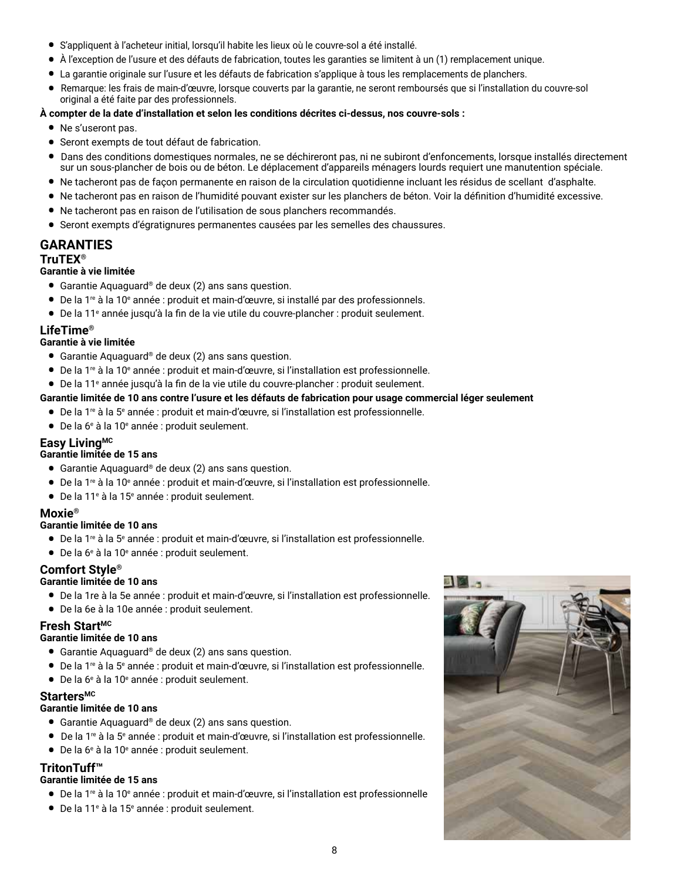- S'appliquent à l'acheteur initial, lorsqu'il habite les lieux où le couvre-sol a été installé.
- À l'exception de l'usure et des défauts de fabrication, toutes les garanties se limitent à un (1) remplacement unique.
- La garantie originale sur l'usure et les défauts de fabrication s'applique à tous les remplacements de planchers.
- Remarque: les frais de main-d'œuvre, lorsque couverts par la garantie, ne seront remboursés que si l'installation du couvre-sol original a été faite par des professionnels.

#### **À compter de la date d'installation et selon les conditions décrites ci-dessus, nos couvre-sols :**

- Ne s'useront pas.
- Seront exempts de tout défaut de fabrication.
- Dans des conditions domestiques normales, ne se déchireront pas, ni ne subiront d'enfoncements, lorsque installés directement sur un sous-plancher de bois ou de béton. Le déplacement d'appareils ménagers lourds requiert une manutention spéciale.
- Ne tacheront pas de façon permanente en raison de la circulation quotidienne incluant les résidus de scellant d'asphalte.
- Ne tacheront pas en raison de l'humidité pouvant exister sur les planchers de béton. Voir la définition d'humidité excessive.
- Ne tacheront pas en raison de l'utilisation de sous planchers recommandés.
- Seront exempts d'égratignures permanentes causées par les semelles des chaussures.

# **GARANTIES**

# **TruTEX®**

# **Garantie à vie limitée**

- Garantie Aquaguard® de deux (2) ans sans question.
- De la 1<sup>re</sup> à la 10<sup>e</sup> année : produit et main-d'œuvre, si installé par des professionnels.
- De la 11<sup>e</sup> année jusqu'à la fin de la vie utile du couvre-plancher : produit seulement.

# **LifeTime®**

# **Garantie à vie limitée**

- Garantie Aquaguard® de deux (2) ans sans question.
- De la 1re à la 10<sup>e</sup> année : produit et main-d'œuvre, si l'installation est professionnelle.
- De la 11<sup>e</sup> année jusqu'à la fin de la vie utile du couvre-plancher : produit seulement.

# **Garantie limitée de 10 ans contre l'usure et les défauts de fabrication pour usage commercial léger seulement**

- De la 1<sup>re</sup> à la 5<sup>e</sup> année : produit et main-d'œuvre, si l'installation est professionnelle.
- De la 6<sup>e</sup> à la 10<sup>e</sup> année : produit seulement.

# **Easy LivingMC**

# **Garantie limitée de 15 ans**

- Garantie Aquaguard® de deux (2) ans sans question.
- De la 1<sup>re</sup> à la 10<sup>e</sup> année : produit et main-d'œuvre, si l'installation est professionnelle.
- De la 11<sup>e</sup> à la 15<sup>e</sup> année : produit seulement.

# **Moxie®**

# **Garantie limitée de 10 ans**

- De la 1<sup>re</sup> à la 5<sup>e</sup> année : produit et main-d'œuvre, si l'installation est professionnelle.<br>● Periode à la 40e de la 11e de la 11e de la 11e de la 11e de la 12e de la 12e de la 12e de la 12e de la 12e d
- De la 6<sup>e</sup> à la 10<sup>e</sup> année : produit seulement.

# **Comfort Style®**

#### **Garantie limitée de 10 ans**

- De la 1re à la 5e année : produit et main-d'œuvre, si l'installation est professionnelle.
- De la 6e à la 10e année : produit seulement.

# **Fresh StartMC**

#### **Garantie limitée de 10 ans**

- Garantie Aquaguard® de deux (2) ans sans question.
- De la 1<sup>re</sup> à la 5<sup>e</sup> année : produit et main-d'œuvre, si l'installation est professionnelle.
- De la 6<sup>e</sup> à la 10<sup>e</sup> année : produit seulement.

# Starters<sup>MC</sup>

# **Garantie limitée de 10 ans**

- Garantie Aquaguard® de deux (2) ans sans question.
- De la 1<sup>re</sup> à la 5<sup>e</sup> année : produit et main-d'œuvre, si l'installation est professionnelle.
- De la 6<sup>e</sup> à la 10<sup>e</sup> année : produit seulement.

# **TritonTuff™**

# **Garantie limitée de 15 ans**

- De la 1re à la 10<sup>e</sup> année : produit et main-d'œuvre, si l'installation est professionnelle
- $\bullet$  De la 11<sup>e</sup> à la 15<sup>e</sup> année : produit seulement.

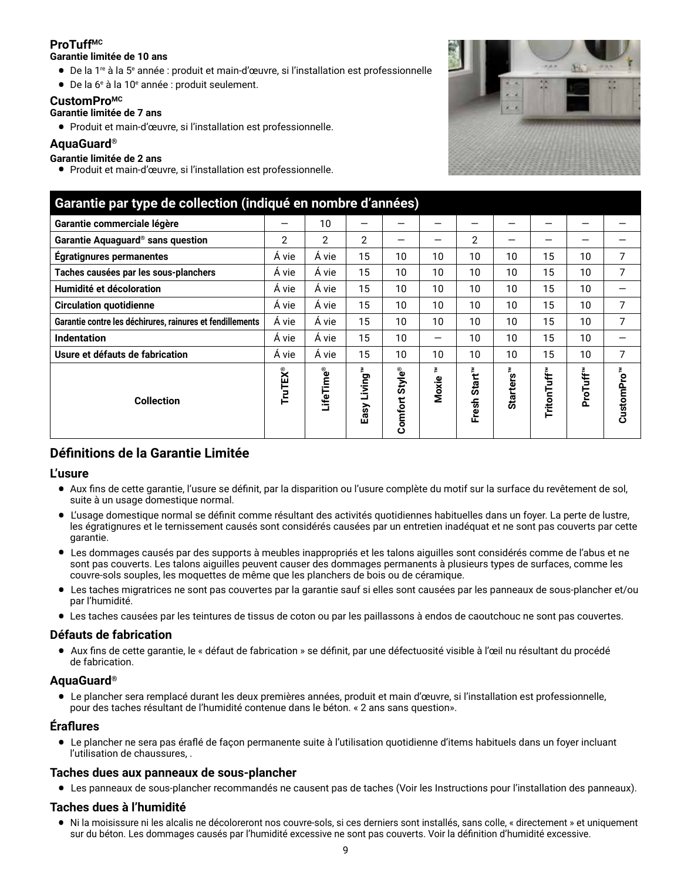# **ProTuffMC**

#### **Garantie limitée de 10 ans**

- De la 1<sup>re</sup> à la 5<sup>e</sup> année : produit et main-d'œuvre, si l'installation est professionnelle
- De la 6<sup>e</sup> à la 10<sup>e</sup> année : produit seulement.

# **CustomProMC**

# **Garantie limitée de 7 ans**

• Produit et main-d'œuvre, si l'installation est professionnelle.

# **AquaGuard®**

# **Garantie limitée de 2 ans**

• Produit et main-d'œuvre, si l'installation est professionnelle.



| Garantie par type de collection (indiqué en nombre d'années) |                |           |                |                          |       |                                    |                       |             |          |                        |
|--------------------------------------------------------------|----------------|-----------|----------------|--------------------------|-------|------------------------------------|-----------------------|-------------|----------|------------------------|
| Garantie commerciale légère                                  | —              | 10        | —              |                          |       |                                    |                       |             |          |                        |
| Garantie Aquaguard <sup>®</sup> sans question                | $\overline{2}$ | 2         | $\overline{2}$ |                          |       | $\overline{2}$                     | –                     | –           |          |                        |
| <b>Égratignures permanentes</b>                              | Á vie          | Á vie     | 15             | 10                       | 10    | 10                                 | 10                    | 15          | 10       | 7                      |
| Taches causées par les sous-planchers                        | Á vie          | Á vie     | 15             | 10                       | 10    | 10                                 | 10                    | 15          | 10       | 7                      |
| Humidité et décoloration                                     | Á vie          | Á vie     | 15             | 10                       | 10    | 10                                 | 10                    | 15          | 10       |                        |
| <b>Circulation quotidienne</b>                               | Á vie          | Á vie     | 15             | 10                       | 10    | 10                                 | 10                    | 15          | 10       | 7                      |
| Garantie contre les déchirures, rainures et fendillements    | Á vie          | Á vie     | 15             | 10                       | 10    | 10                                 | 10                    | 15          | 10       | 7                      |
| <b>Indentation</b>                                           | Á vie          | Á vie     | 15             | 10                       |       | 10                                 | 10                    | 15          | 10       |                        |
| Usure et défauts de fabrication                              | Á vie          | Á vie     | 15             | 10                       | 10    | 10                                 | 10                    | 15          | 10       | 7                      |
| <b>Collection</b>                                            | TruTEX®        | LifeTime® | Easy Living"   | <b>Style®</b><br>Comfort | Moxie | Start <sup>™</sup><br><b>Fresh</b> | Starters <sup>™</sup> | TritonTuff™ | ProTuff™ | CustomPro <sup>™</sup> |

# **Définitions de la Garantie Limitée**

# **L'usure**

- Aux fins de cette garantie, l'usure se définit, par la disparition ou l'usure complète du motif sur la surface du revêtement de sol, suite à un usage domestique normal.
- L'usage domestique normal se définit comme résultant des activités quotidiennes habituelles dans un foyer. La perte de lustre, les égratignures et le ternissement causés sont considérés causées par un entretien inadéquat et ne sont pas couverts par cette garantie.
- Les dommages causés par des supports à meubles inappropriés et les talons aiguilles sont considérés comme de l'abus et ne sont pas couverts. Les talons aiguilles peuvent causer des dommages permanents à plusieurs types de surfaces, comme les couvre-sols souples, les moquettes de même que les planchers de bois ou de céramique.
- Les taches migratrices ne sont pas couvertes par la garantie sauf si elles sont causées par les panneaux de sous-plancher et/ou par l'humidité.
- Les taches causées par les teintures de tissus de coton ou par les paillassons à endos de caoutchouc ne sont pas couvertes.

# **Défauts de fabrication**

• Aux fins de cette garantie, le « défaut de fabrication » se définit, par une défectuosité visible à l'œil nu résultant du procédé de fabrication.

# **AquaGuard®**

• Le plancher sera remplacé durant les deux premières années, produit et main d'œuvre, si l'installation est professionnelle, pour des taches résultant de l'humidité contenue dans le béton. « 2 ans sans question».

# **Éraflures**

• Le plancher ne sera pas éraflé de façon permanente suite à l'utilisation quotidienne d'items habituels dans un foyer incluant l'utilisation de chaussures, .

# **Taches dues aux panneaux de sous-plancher**

• Les panneaux de sous-plancher recommandés ne causent pas de taches (Voir les Instructions pour l'installation des panneaux).

# **Taches dues à l'humidité**

• Ni la moisissure ni les alcalis ne décoloreront nos couvre-sols, si ces derniers sont installés, sans colle, « directement » et uniquement sur du béton. Les dommages causés par l'humidité excessive ne sont pas couverts. Voir la définition d'humidité excessive.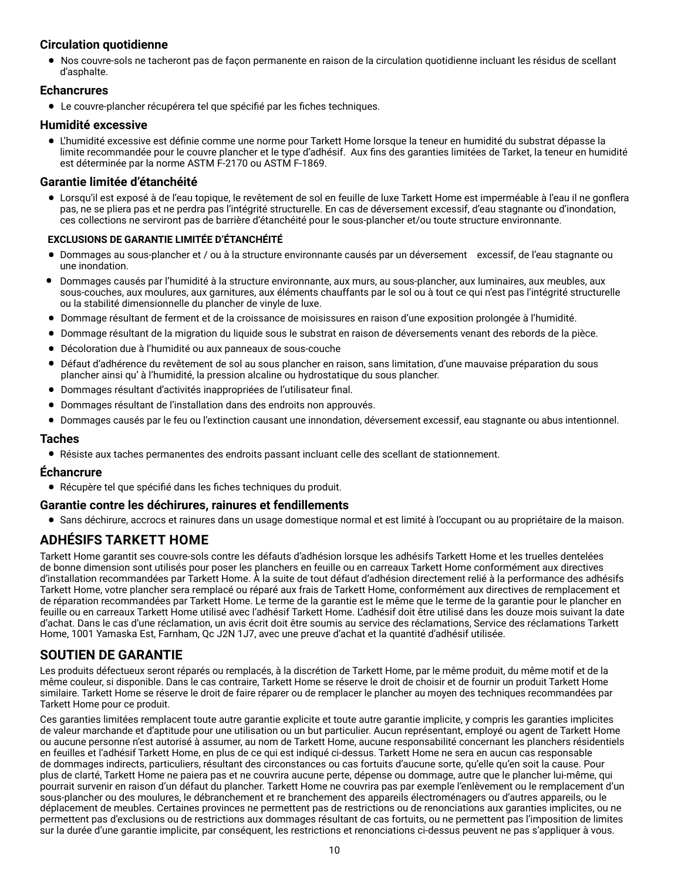# **Circulation quotidienne**

• Nos couvre-sols ne tacheront pas de façon permanente en raison de la circulation quotidienne incluant les résidus de scellant d'asphalte.

# **Echancrures**

• Le couvre-plancher récupérera tel que spécifié par les fiches techniques.

#### **Humidité excessive**

• L'humidité excessive est définie comme une norme pour Tarkett Home lorsque la teneur en humidité du substrat dépasse la limite recommandée pour le couvre plancher et le type d'adhésif. Aux fins des garanties limitées de Tarket, la teneur en humidité est déterminée par la norme ASTM F-2170 ou ASTM F-1869.

# **Garantie limitée d'étanchéité**

• Lorsqu'il est exposé à de l'eau topique, le revêtement de sol en feuille de luxe Tarkett Home est imperméable à l'eau il ne gonflera pas, ne se pliera pas et ne perdra pas l'intégrité structurelle. En cas de déversement excessif, d'eau stagnante ou d'inondation, ces collections ne serviront pas de barrière d'étanchéité pour le sous-plancher et/ou toute structure environnante.

#### **EXCLUSIONS DE GARANTIE LIMITÉE D'ÉTANCHÉITÉ**

- Dommages au sous-plancher et / ou à la structure environnante causés par un déversement excessif, de l'eau stagnante ou une inondation.
- Dommages causés par l'humidité à la structure environnante, aux murs, au sous-plancher, aux luminaires, aux meubles, aux sous-couches, aux moulures, aux garnitures, aux éléments chauffants par le sol ou à tout ce qui n'est pas l'intégrité structurelle ou la stabilité dimensionnelle du plancher de vinyle de luxe.
- Dommage résultant de ferment et de la croissance de moisissures en raison d'une exposition prolongée à l'humidité.
- Dommage résultant de la migration du liquide sous le substrat en raison de déversements venant des rebords de la pièce.
- Décoloration due à l'humidité ou aux panneaux de sous-couche
- Défaut d'adhérence du revêtement de sol au sous plancher en raison, sans limitation, d'une mauvaise préparation du sous plancher ainsi qu' à l'humidité, la pression alcaline ou hydrostatique du sous plancher.
- Dommages résultant d'activités inappropriées de l'utilisateur final.
- Dommages résultant de l'installation dans des endroits non approuvés.
- Dommages causés par le feu ou l'extinction causant une innondation, déversement excessif, eau stagnante ou abus intentionnel.

#### **Taches**

• Résiste aux taches permanentes des endroits passant incluant celle des scellant de stationnement.

#### **Échancrure**

• Récupère tel que spécifié dans les fiches techniques du produit.

#### **Garantie contre les déchirures, rainures et fendillements**

• Sans déchirure, accrocs et rainures dans un usage domestique normal et est limité à l'occupant ou au propriétaire de la maison.

# **ADHÉSIFS TARKETT HOME**

Tarkett Home garantit ses couvre-sols contre les défauts d'adhésion lorsque les adhésifs Tarkett Home et les truelles dentelées de bonne dimension sont utilisés pour poser les planchers en feuille ou en carreaux Tarkett Home conformément aux directives d'installation recommandées par Tarkett Home. À la suite de tout défaut d'adhésion directement relié à la performance des adhésifs Tarkett Home, votre plancher sera remplacé ou réparé aux frais de Tarkett Home, conformément aux directives de remplacement et de réparation recommandées par Tarkett Home. Le terme de la garantie est le même que le terme de la garantie pour le plancher en feuille ou en carreaux Tarkett Home utilisé avec l'adhésif Tarkett Home. L'adhésif doit être utilisé dans les douze mois suivant la date d'achat. Dans le cas d'une réclamation, un avis écrit doit être soumis au service des réclamations, Service des réclamations Tarkett Home, 1001 Yamaska Est, Farnham, Qc J2N 1J7, avec une preuve d'achat et la quantité d'adhésif utilisée.

# **SOUTIEN DE GARANTIE**

Les produits défectueux seront réparés ou remplacés, à la discrétion de Tarkett Home, par le même produit, du même motif et de la même couleur, si disponible. Dans le cas contraire, Tarkett Home se réserve le droit de choisir et de fournir un produit Tarkett Home similaire. Tarkett Home se réserve le droit de faire réparer ou de remplacer le plancher au moyen des techniques recommandées par Tarkett Home pour ce produit.

Ces garanties limitées remplacent toute autre garantie explicite et toute autre garantie implicite, y compris les garanties implicites de valeur marchande et d'aptitude pour une utilisation ou un but particulier. Aucun représentant, employé ou agent de Tarkett Home ou aucune personne n'est autorisé à assumer, au nom de Tarkett Home, aucune responsabilité concernant les planchers résidentiels en feuilles et l'adhésif Tarkett Home, en plus de ce qui est indiqué ci-dessus. Tarkett Home ne sera en aucun cas responsable de dommages indirects, particuliers, résultant des circonstances ou cas fortuits d'aucune sorte, qu'elle qu'en soit la cause. Pour plus de clarté, Tarkett Home ne paiera pas et ne couvrira aucune perte, dépense ou dommage, autre que le plancher lui-même, qui pourrait survenir en raison d'un défaut du plancher. Tarkett Home ne couvrira pas par exemple l'enlèvement ou le remplacement d'un sous-plancher ou des moulures, le débranchement et re branchement des appareils électroménagers ou d'autres appareils, ou le déplacement de meubles. Certaines provinces ne permettent pas de restrictions ou de renonciations aux garanties implicites, ou ne permettent pas d'exclusions ou de restrictions aux dommages résultant de cas fortuits, ou ne permettent pas l'imposition de limites sur la durée d'une garantie implicite, par conséquent, les restrictions et renonciations ci-dessus peuvent ne pas s'appliquer à vous.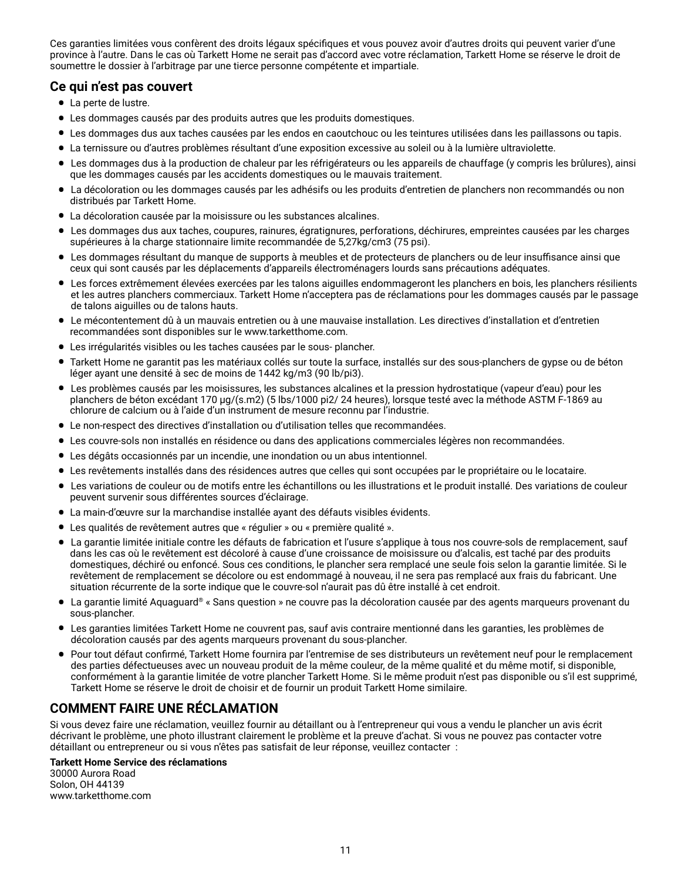Ces garanties limitées vous confèrent des droits légaux spécifiques et vous pouvez avoir d'autres droits qui peuvent varier d'une province à l'autre. Dans le cas où Tarkett Home ne serait pas d'accord avec votre réclamation, Tarkett Home se réserve le droit de soumettre le dossier à l'arbitrage par une tierce personne compétente et impartiale.

# **Ce qui n'est pas couvert**

- La perte de lustre.
- Les dommages causés par des produits autres que les produits domestiques.
- Les dommages dus aux taches causées par les endos en caoutchouc ou les teintures utilisées dans les paillassons ou tapis.
- La ternissure ou d'autres problèmes résultant d'une exposition excessive au soleil ou à la lumière ultraviolette.
- Les dommages dus à la production de chaleur par les réfrigérateurs ou les appareils de chauffage (y compris les brûlures), ainsi que les dommages causés par les accidents domestiques ou le mauvais traitement.
- La décoloration ou les dommages causés par les adhésifs ou les produits d'entretien de planchers non recommandés ou non distribués par Tarkett Home.
- La décoloration causée par la moisissure ou les substances alcalines.
- Les dommages dus aux taches, coupures, rainures, égratignures, perforations, déchirures, empreintes causées par les charges supérieures à la charge stationnaire limite recommandée de 5,27kg/cm3 (75 psi).
- Les dommages résultant du manque de supports à meubles et de protecteurs de planchers ou de leur insuffisance ainsi que ceux qui sont causés par les déplacements d'appareils électroménagers lourds sans précautions adéquates.
- Les forces extrêmement élevées exercées par les talons aiguilles endommageront les planchers en bois, les planchers résilients et les autres planchers commerciaux. Tarkett Home n'acceptera pas de réclamations pour les dommages causés par le passage de talons aiguilles ou de talons hauts.
- Le mécontentement dû à un mauvais entretien ou à une mauvaise installation. Les directives d'installation et d'entretien recommandées sont disponibles sur le www.tarketthome.com.
- Les irrégularités visibles ou les taches causées par le sous- plancher.
- Tarkett Home ne garantit pas les matériaux collés sur toute la surface, installés sur des sous-planchers de gypse ou de béton léger ayant une densité à sec de moins de 1442 kg/m3 (90 lb/pi3).
- Les problèmes causés par les moisissures, les substances alcalines et la pression hydrostatique (vapeur d'eau) pour les planchers de béton excédant 170 μg/(s.m2) (5 lbs/1000 pi2/ 24 heures), lorsque testé avec la méthode ASTM F-1869 au chlorure de calcium ou à l'aide d'un instrument de mesure reconnu par l'industrie.
- Le non-respect des directives d'installation ou d'utilisation telles que recommandées.
- Les couvre-sols non installés en résidence ou dans des applications commerciales légères non recommandées.
- Les dégâts occasionnés par un incendie, une inondation ou un abus intentionnel.
- Les revêtements installés dans des résidences autres que celles qui sont occupées par le propriétaire ou le locataire.
- Les variations de couleur ou de motifs entre les échantillons ou les illustrations et le produit installé. Des variations de couleur peuvent survenir sous différentes sources d'éclairage.
- La main-d'œuvre sur la marchandise installée ayant des défauts visibles évidents.
- Les qualités de revêtement autres que « régulier » ou « première qualité ».
- La garantie limitée initiale contre les défauts de fabrication et l'usure s'applique à tous nos couvre-sols de remplacement, sauf dans les cas où le revêtement est décoloré à cause d'une croissance de moisissure ou d'alcalis, est taché par des produits domestiques, déchiré ou enfoncé. Sous ces conditions, le plancher sera remplacé une seule fois selon la garantie limitée. Si le revêtement de remplacement se décolore ou est endommagé à nouveau, il ne sera pas remplacé aux frais du fabricant. Une situation récurrente de la sorte indique que le couvre-sol n'aurait pas dû être installé à cet endroit.
- La garantie limité Aquaguard® « Sans question » ne couvre pas la décoloration causée par des agents marqueurs provenant du sous-plancher.
- Les garanties limitées Tarkett Home ne couvrent pas, sauf avis contraire mentionné dans les garanties, les problèmes de décoloration causés par des agents marqueurs provenant du sous-plancher.
- Pour tout défaut confirmé, Tarkett Home fournira par l'entremise de ses distributeurs un revêtement neuf pour le remplacement des parties défectueuses avec un nouveau produit de la même couleur, de la même qualité et du même motif, si disponible, conformément à la garantie limitée de votre plancher Tarkett Home. Si le même produit n'est pas disponible ou s'il est supprimé, Tarkett Home se réserve le droit de choisir et de fournir un produit Tarkett Home similaire.

# **COMMENT FAIRE UNE RÉCLAMATION**

Si vous devez faire une réclamation, veuillez fournir au détaillant ou à l'entrepreneur qui vous a vendu le plancher un avis écrit décrivant le problème, une photo illustrant clairement le problème et la preuve d'achat. Si vous ne pouvez pas contacter votre détaillant ou entrepreneur ou si vous n'êtes pas satisfait de leur réponse, veuillez contacter :

#### **Tarkett Home Service des réclamations**

30000 Aurora Road Solon, OH 44139 www.tarketthome.com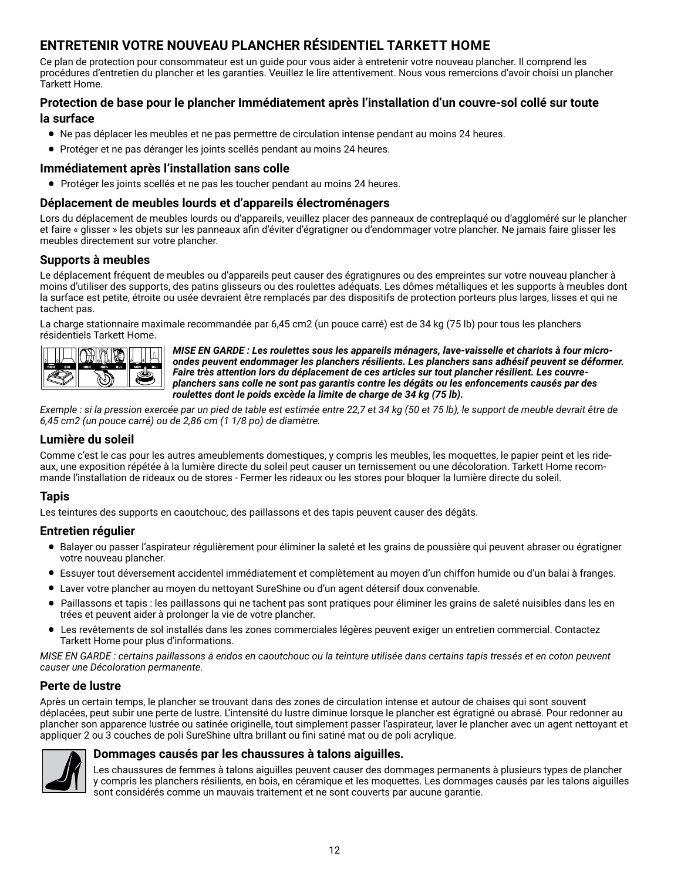# **ENTRETENIR VOTRE NOUVEAU PLANCHER RÉSIDENTIEL TARKETT HOME**

Ce plan de protection pour consommateur est un guide pour vous aider à entretenir votre nouveau plancher. Il comprend les procédures d'entretien du plancher et les garanties. Veuillez le lire attentivement. Nous vous remercions d'avoir choisi un plancher Tarkett Home.

# **Protection de base pour le plancher Immédiatement après l'installation d'un couvre-sol collé sur toute la surface**

- Ne pas déplacer les meubles et ne pas permettre de circulation intense pendant au moins 24 heures.
- Protéger et ne pas déranger les joints scellés pendant au moins 24 heures.

# **Immédiatement après l'installation sans colle**

• Protéger les joints scellés et ne pas les toucher pendant au moins 24 heures.

# **Déplacement de meubles lourds et d'appareils électroménagers**

Lors du déplacement de meubles lourds ou d'appareils, veuillez placer des panneaux de contreplaqué ou d'aggloméré sur le plancher et faire « glisser » les objets sur les panneaux afin d'éviter d'égratigner ou d'endommager votre plancher. Ne jamais faire glisser les meubles directement sur votre plancher.

# **Supports à meubles**

Le déplacement fréquent de meubles ou d'appareils peut causer des égratignures ou des empreintes sur votre nouveau plancher à moins d'utiliser des supports, des patins glisseurs ou des roulettes adéquats. Les dômes métalliques et les supports à meubles dont la surface est petite, étroite ou usée devraient être remplacés par des dispositifs de protection porteurs plus larges, lisses et qui ne tachent pas.

La charge stationnaire maximale recommandée par 6,45 cm2 (un pouce carré) est de 34 kg (75 lb) pour tous les planchers résidentiels Tarkett Home.



*MISE EN GARDE : Les roulettes sous les appareils ménagers, lave-vaisselle et chariots à four microondes peuvent endommager les planchers résilients. Les planchers sans adhésif peuvent se déformer. Faire très attention lors du déplacement de ces articles sur tout plancher résilient. Les couvreplanchers sans colle ne sont pas garantis contre les dégâts ou les enfoncements causés par des roulettes dont le poids excède la limite de charge de 34 kg (75 lb).*

*Exemple : si la pression exercée par un pied de table est estimée entre 22,7 et 34 kg (50 et 75 lb), le support de meuble devrait être de 6,45 cm2 (un pouce carré) ou de 2,86 cm (1 1/8 po) de diamètre.*

# **Lumière du soleil**

Comme c'est le cas pour les autres ameublements domestiques, y compris les meubles, les moquettes, le papier peint et les rideaux, une exposition répétée à la lumière directe du soleil peut causer un ternissement ou une décoloration. Tarkett Home recommande l'installation de rideaux ou de stores - Fermer les rideaux ou les stores pour bloquer la lumière directe du soleil.

#### **Tapis**

Les teintures des supports en caoutchouc, des paillassons et des tapis peuvent causer des dégâts.

#### **Entretien régulier**

- Balayer ou passer l'aspirateur régulièrement pour éliminer la saleté et les grains de poussière qui peuvent abraser ou égratigner votre nouveau plancher.
- Essuyer tout déversement accidentel immédiatement et complètement au moyen d'un chiffon humide ou d'un balai à franges.
- Laver votre plancher au moyen du nettoyant SureShine ou d'un agent détersif doux convenable.
- Paillassons et tapis : les paillassons qui ne tachent pas sont pratiques pour éliminer les grains de saleté nuisibles dans les en trées et peuvent aider à prolonger la vie de votre plancher.
- Les revêtements de sol installés dans les zones commerciales légères peuvent exiger un entretien commercial. Contactez Tarkett Home pour plus d'informations.

*MISE EN GARDE : certains paillassons à endos en caoutchouc ou la teinture utilisée dans certains tapis tressés et en coton peuvent causer une Décoloration permanente.*

# **Perte de lustre**

Après un certain temps, le plancher se trouvant dans des zones de circulation intense et autour de chaises qui sont souvent déplacées, peut subir une perte de lustre. L'intensité du lustre diminue lorsque le plancher est égratigné ou abrasé. Pour redonner au plancher son apparence lustrée ou satinée originelle, tout simplement passer l'aspirateur, laver le plancher avec un agent nettoyant et appliquer 2 ou 3 couches de poli SureShine ultra brillant ou fini satiné mat ou de poli acrylique.



#### **Dommages causés par les chaussures à talons aiguilles.**

Les chaussures de femmes à talons aiguilles peuvent causer des dommages permanents à plusieurs types de plancher y compris les planchers résilients, en bois, en céramique et les moquettes. Les dommages causés par les talons aiguilles sont considérés comme un mauvais traitement et ne sont couverts par aucune garantie.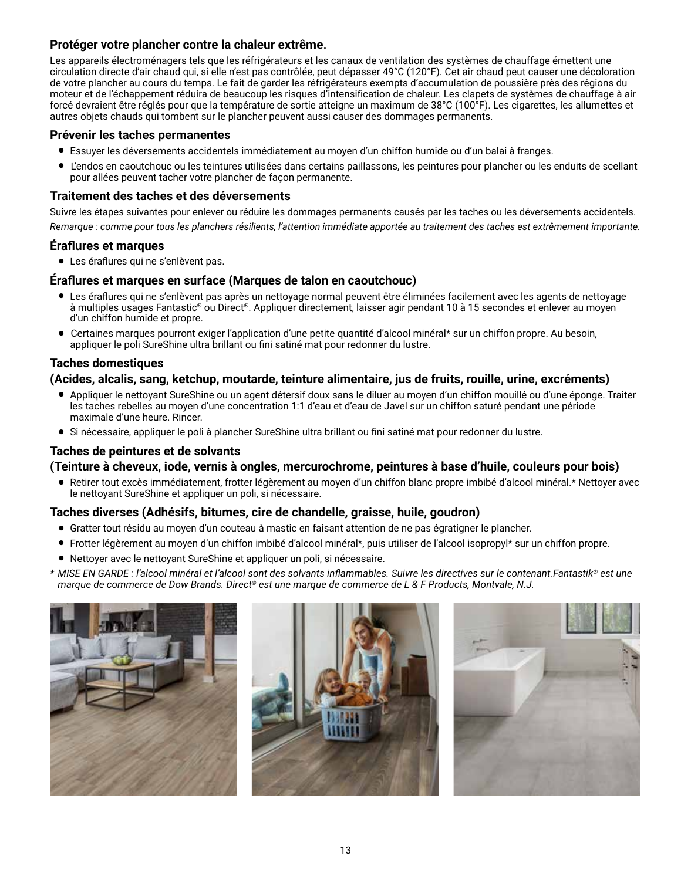# **Protéger votre plancher contre la chaleur extrême.**

Les appareils électroménagers tels que les réfrigérateurs et les canaux de ventilation des systèmes de chauffage émettent une circulation directe d'air chaud qui, si elle n'est pas contrôlée, peut dépasser 49°C (120°F). Cet air chaud peut causer une décoloration de votre plancher au cours du temps. Le fait de garder les réfrigérateurs exempts d'accumulation de poussière près des régions du moteur et de l'échappement réduira de beaucoup les risques d'intensification de chaleur. Les clapets de systèmes de chauffage à air forcé devraient être réglés pour que la température de sortie atteigne un maximum de 38°C (100°F). Les cigarettes, les allumettes et autres objets chauds qui tombent sur le plancher peuvent aussi causer des dommages permanents.

# **Prévenir les taches permanentes**

- Essuyer les déversements accidentels immédiatement au moyen d'un chiffon humide ou d'un balai à franges.
- L'endos en caoutchouc ou les teintures utilisées dans certains paillassons, les peintures pour plancher ou les enduits de scellant pour allées peuvent tacher votre plancher de façon permanente.

# **Traitement des taches et des déversements**

Suivre les étapes suivantes pour enlever ou réduire les dommages permanents causés par les taches ou les déversements accidentels.

*Remarque : comme pour tous les planchers résilients, l'attention immédiate apportée au traitement des taches est extrêmement importante.*

# **Éraflures et marques**

• Les éraflures qui ne s'enlèvent pas.

# **Éraflures et marques en surface (Marques de talon en caoutchouc)**

- Les éraflures qui ne s'enlèvent pas après un nettoyage normal peuvent être éliminées facilement avec les agents de nettoyage à multiples usages Fantastic® ou Direct®. Appliquer directement, laisser agir pendant 10 à 15 secondes et enlever au moyen d'un chiffon humide et propre.
- Certaines marques pourront exiger l'application d'une petite quantité d'alcool minéral\* sur un chiffon propre. Au besoin, appliquer le poli SureShine ultra brillant ou fini satiné mat pour redonner du lustre.

# **Taches domestiques**

# **(Acides, alcalis, sang, ketchup, moutarde, teinture alimentaire, jus de fruits, rouille, urine, excréments)**

- Appliquer le nettoyant SureShine ou un agent détersif doux sans le diluer au moyen d'un chiffon mouillé ou d'une éponge. Traiter les taches rebelles au moyen d'une concentration 1:1 d'eau et d'eau de Javel sur un chiffon saturé pendant une période maximale d'une heure. Rincer.
- Si nécessaire, appliquer le poli à plancher SureShine ultra brillant ou fini satiné mat pour redonner du lustre.

# **Taches de peintures et de solvants**

# **(Teinture à cheveux, iode, vernis à ongles, mercurochrome, peintures à base d'huile, couleurs pour bois)**

• Retirer tout excès immédiatement, frotter légèrement au moyen d'un chiffon blanc propre imbibé d'alcool minéral.\* Nettoyer avec le nettoyant SureShine et appliquer un poli, si nécessaire.

# **Taches diverses (Adhésifs, bitumes, cire de chandelle, graisse, huile, goudron)**

- Gratter tout résidu au moyen d'un couteau à mastic en faisant attention de ne pas égratigner le plancher.
- Frotter légèrement au moyen d'un chiffon imbibé d'alcool minéral\*, puis utiliser de l'alcool isopropyl\* sur un chiffon propre.
- Nettoyer avec le nettoyant SureShine et appliquer un poli, si nécessaire.
- *\* MISE EN GARDE : l'alcool minéral et l'alcool sont des solvants inflammables. Suivre les directives sur le contenant.Fantastik® est une marque de commerce de Dow Brands. Direct® est une marque de commerce de L & F Products, Montvale, N.J.*